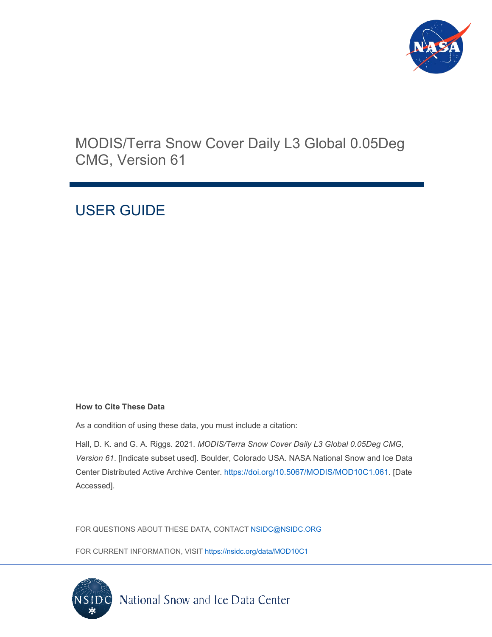

# MODIS/Terra Snow Cover Daily L3 Global 0.05Deg CMG, Version 61

# USER GUIDE

#### **How to Cite These Data**

As a condition of using these data, you must include a citation:

Hall, D. K. and G. A. Riggs. 2021. *MODIS/Terra Snow Cover Daily L3 Global 0.05Deg CMG, Version 61*. [Indicate subset used]. Boulder, Colorado USA. NASA National Snow and Ice Data Center Distributed Active Archive Center. [https://doi.org/10.5067/MODIS/MOD10C1.061.](https://doi.org/10.5067/MODIS/MOD10C1.061) [Date Accessed].

FOR QUESTIONS ABOUT THESE DATA, CONTACT [NSIDC@NSIDC.ORG](mailto:nsidc@nsidc.org)

FOR CURRENT INFORMATION, VISIT<https://nsidc.org/data/MOD10C1>

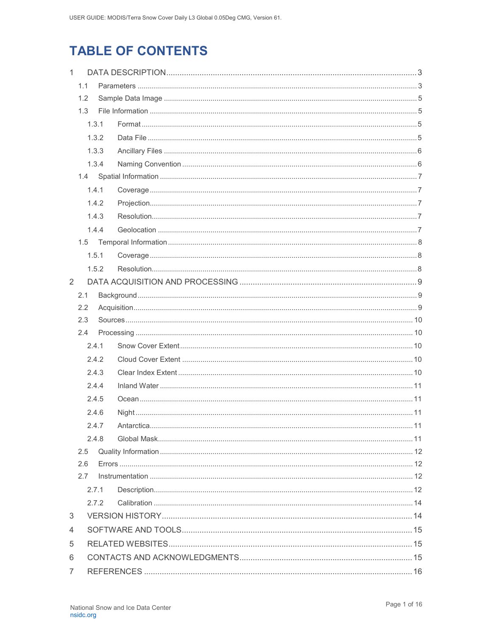# **TABLE OF CONTENTS**

| $\mathbf{1}$ |     |       |  |  |  |
|--------------|-----|-------|--|--|--|
|              | 1.1 |       |  |  |  |
| 1.2          |     |       |  |  |  |
|              | 1.3 |       |  |  |  |
|              |     | 1.3.1 |  |  |  |
|              |     | 1.3.2 |  |  |  |
|              |     | 1.3.3 |  |  |  |
|              |     | 1.3.4 |  |  |  |
|              | 1.4 |       |  |  |  |
|              |     | 1.4.1 |  |  |  |
|              |     | 1.4.2 |  |  |  |
|              |     | 1.4.3 |  |  |  |
|              |     | 1.4.4 |  |  |  |
|              |     |       |  |  |  |
|              |     | 1.5.1 |  |  |  |
|              |     | 1.5.2 |  |  |  |
| 2            |     |       |  |  |  |
|              | 2.1 |       |  |  |  |
|              | 2.2 |       |  |  |  |
|              | 2.3 |       |  |  |  |
|              | 2.4 |       |  |  |  |
|              |     | 2.4.1 |  |  |  |
|              |     | 2.4.2 |  |  |  |
|              |     | 2.4.3 |  |  |  |
|              |     | 2.4.4 |  |  |  |
|              |     | 2.4.5 |  |  |  |
|              |     | 2.4.6 |  |  |  |
|              |     | 2.4.7 |  |  |  |
|              |     | 2.4.8 |  |  |  |
|              | 2.5 |       |  |  |  |
|              | 2.6 |       |  |  |  |
|              | 2.7 |       |  |  |  |
|              |     | 2.7.1 |  |  |  |
|              |     | 2.7.2 |  |  |  |
| 3            |     |       |  |  |  |
| 4            |     |       |  |  |  |
| 5            |     |       |  |  |  |
| 6            |     |       |  |  |  |
| 7            |     |       |  |  |  |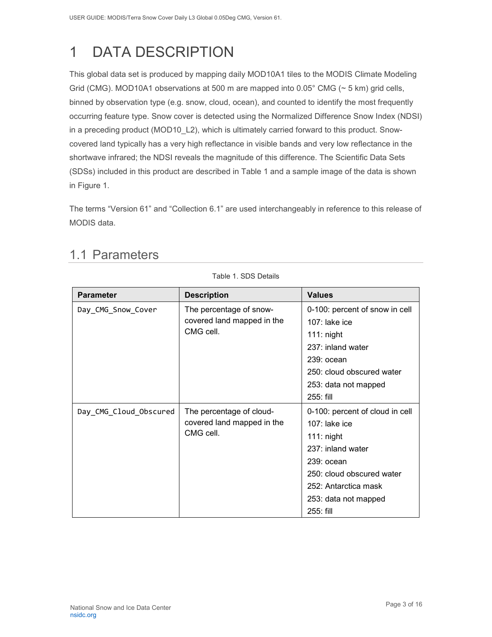# <span id="page-3-0"></span>1 DATA DESCRIPTION

This global data set is produced by mapping daily MOD10A1 tiles to the MODIS Climate Modeling Grid (CMG). MOD10A1 observations at 500 m are mapped into 0.05° CMG (~ 5 km) grid cells, binned by observation type (e.g. snow, cloud, ocean), and counted to identify the most frequently occurring feature type. Snow cover is detected using the Normalized Difference Snow Index (NDSI) in a preceding product (MOD10\_L2), which is ultimately carried forward to this product. Snowcovered land typically has a very high reflectance in visible bands and very low reflectance in the shortwave infrared; the NDSI reveals the magnitude of this difference. The Scientific Data Sets (SDSs) included in this product are described in Table 1 and a sample image of the data is shown in Figure 1.

<span id="page-3-1"></span>The terms "Version 61" and "Collection 6.1" are used interchangeably in reference to this release of MODIS data.

Table 1. SDS Details

| <b>Parameter</b>       | <b>Description</b>                                                  | <b>Values</b>                                                                                                                                                                                      |
|------------------------|---------------------------------------------------------------------|----------------------------------------------------------------------------------------------------------------------------------------------------------------------------------------------------|
| Day_CMG_Snow_Cover     | The percentage of snow-<br>covered land mapped in the<br>CMG cell.  | 0-100: percent of snow in cell<br>$107$ : lake ice<br>$111:$ night<br>237: inland water<br>239: ocean<br>250: cloud obscured water<br>253: data not mapped<br>255: fill                            |
| Day_CMG_Cloud_Obscured | The percentage of cloud-<br>covered land mapped in the<br>CMG cell. | 0-100: percent of cloud in cell<br>$107$ : lake ice<br>$111:$ night<br>237: inland water<br>$239:$ ocean<br>250: cloud obscured water<br>252: Antarctica mask<br>253: data not mapped<br>255: fill |

## 1.1 Parameters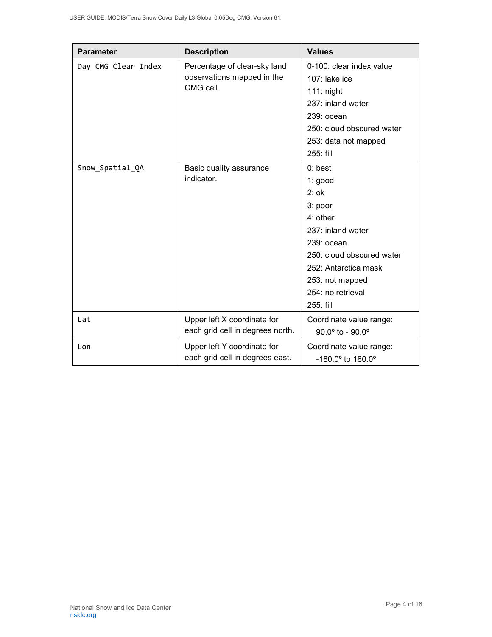| <b>Parameter</b>    | <b>Description</b>                                                      | <b>Values</b>                       |
|---------------------|-------------------------------------------------------------------------|-------------------------------------|
| Day_CMG_Clear_Index | Percentage of clear-sky land<br>observations mapped in the<br>CMG cell. | 0-100: clear index value            |
|                     |                                                                         | 107: lake ice                       |
|                     |                                                                         | $111:$ night                        |
|                     |                                                                         | 237: inland water                   |
|                     |                                                                         | 239: ocean                          |
|                     |                                                                         | 250: cloud obscured water           |
|                     |                                                                         | 253: data not mapped                |
|                     |                                                                         | 255: fill                           |
| Snow_Spatial_QA     | Basic quality assurance                                                 | $0:$ best                           |
|                     | indicator.                                                              | 1: good                             |
|                     |                                                                         | $2:$ ok                             |
|                     |                                                                         | 3: poor                             |
|                     |                                                                         | 4: other                            |
|                     |                                                                         | 237: inland water                   |
|                     |                                                                         | 239: ocean                          |
|                     |                                                                         | 250: cloud obscured water           |
|                     |                                                                         | 252: Antarctica mask                |
|                     |                                                                         | 253: not mapped                     |
|                     |                                                                         | 254: no retrieval                   |
|                     |                                                                         | 255: fill                           |
| Lat                 | Upper left X coordinate for                                             | Coordinate value range:             |
|                     | each grid cell in degrees north.                                        | $90.0^{\circ}$ to - $90.0^{\circ}$  |
| Lon                 | Upper left Y coordinate for                                             | Coordinate value range:             |
|                     | each grid cell in degrees east.                                         | $-180.0^{\circ}$ to $180.0^{\circ}$ |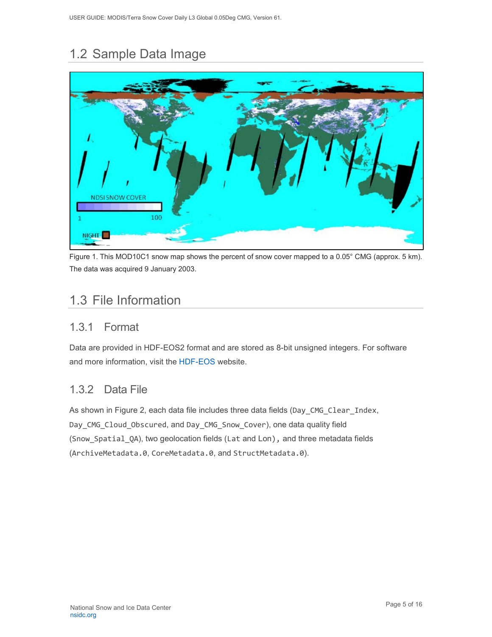# <span id="page-5-0"></span>1.2 Sample Data Image



Figure 1. This MOD10C1 snow map shows the percent of snow cover mapped to a 0.05° CMG (approx. 5 km). The data was acquired 9 January 2003.

## <span id="page-5-1"></span>1.3 File Information

#### <span id="page-5-2"></span>1.3.1 Format

Data are provided in HDF-EOS2 format and are stored as 8-bit unsigned integers. For software and more information, visit the [HDF-EOS](https://portal.hdfgroup.org/display/support) website.

### <span id="page-5-3"></span>1.3.2 Data File

As shown in Figure 2, each data file includes three data fields (Day\_CMG\_Clear\_Index, Day\_CMG\_Cloud\_Obscured, and Day\_CMG\_Snow\_Cover), one data quality field (Snow\_Spatial\_QA), two geolocation fields (Lat and Lon), and three metadata fields (ArchiveMetadata.0, CoreMetadata.0, and StructMetadata.0).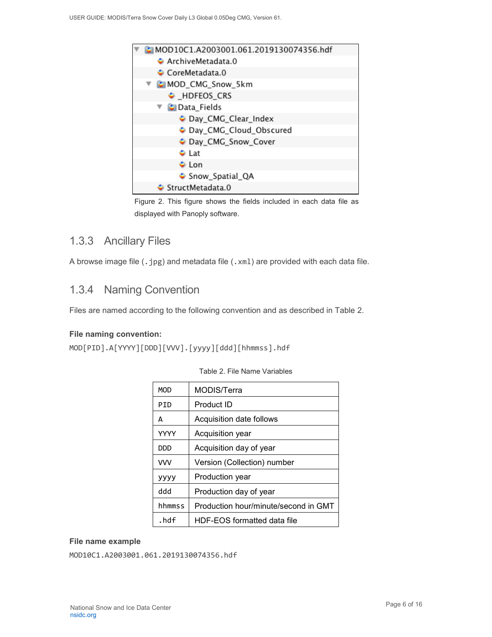

Figure 2. This figure shows the fields included in each data file as displayed with Panoply software.

#### <span id="page-6-0"></span>1.3.3 Ancillary Files

A browse image file (.jpg) and metadata file (.xml) are provided with each data file.

#### <span id="page-6-1"></span>1.3.4 Naming Convention

Files are named according to the following convention and as described in Table 2.

#### **File naming convention:**

MOD[PID].A[YYYY][DDD][VVV].[yyyy][ddd][hhmmss].hdf

| MOD         | MODIS/Terra                          |
|-------------|--------------------------------------|
| PTD         | Product ID                           |
| А           | Acquisition date follows             |
| <b>YYYY</b> | Acquisition year                     |
| סמם         | Acquisition day of year              |
| <b>VVV</b>  | Version (Collection) number          |
| уууу        | Production year                      |
| ddd         | Production day of year               |
| hhmmss      | Production hour/minute/second in GMT |
| . $hdf$     | HDF-EOS formatted data file          |

|  |  |  |  | Table 2. File Name Variables |
|--|--|--|--|------------------------------|
|--|--|--|--|------------------------------|

#### **File name example**

MOD10C1.A2003001.061.2019130074356.hdf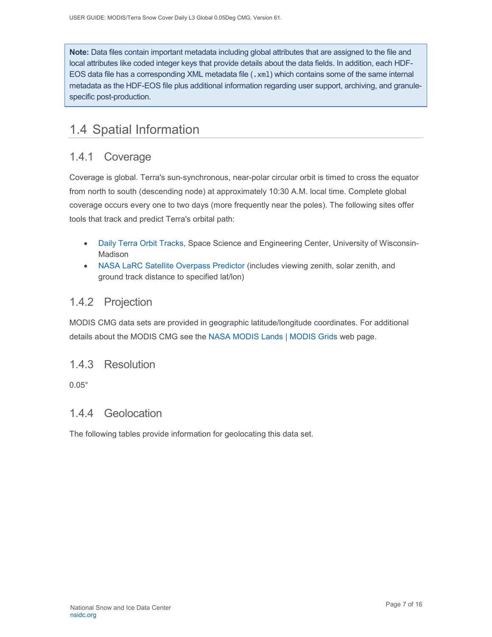**Note:** Data files contain important metadata including global attributes that are assigned to the file and local attributes like coded integer keys that provide details about the data fields. In addition, each HDF-EOS data file has a corresponding XML metadata file (.xm1) which contains some of the same internal metadata as the HDF-EOS file plus additional information regarding user support, archiving, and granulespecific post-production.

## <span id="page-7-0"></span>1.4 Spatial Information

### <span id="page-7-1"></span>1.4.1 Coverage

Coverage is global. Terra's sun-synchronous, near-polar circular orbit is timed to cross the equator from north to south (descending node) at approximately 10:30 A.M. local time. Complete global coverage occurs every one to two days (more frequently near the poles). The following sites offer tools that track and predict Terra's orbital path:

- [Daily Terra Orbit Tracks,](http://www.ssec.wisc.edu/datacenter/terra/GLOBAL.html) Space Science and Engineering Center, University of Wisconsin-Madison
- [NASA LaRC Satellite Overpass Predictor](https://cloudsway2.larc.nasa.gov/cgi-bin/predict/predict.cgi?_ga=2.153697019.217361022.1606924565-1178120269.1525111477) (includes viewing zenith, solar zenith, and ground track distance to specified lat/lon)

#### <span id="page-7-2"></span>1.4.2 Projection

MODIS CMG data sets are provided in geographic latitude/longitude coordinates. For additional details about the MODIS CMG see the [NASA MODIS Lands | MODIS Grids](https://modis-land.gsfc.nasa.gov/MODLAND_grid.html) web page.

#### <span id="page-7-3"></span>1.4.3 Resolution

0.05°

#### <span id="page-7-4"></span>1.4.4 Geolocation

The following tables provide information for geolocating this data set.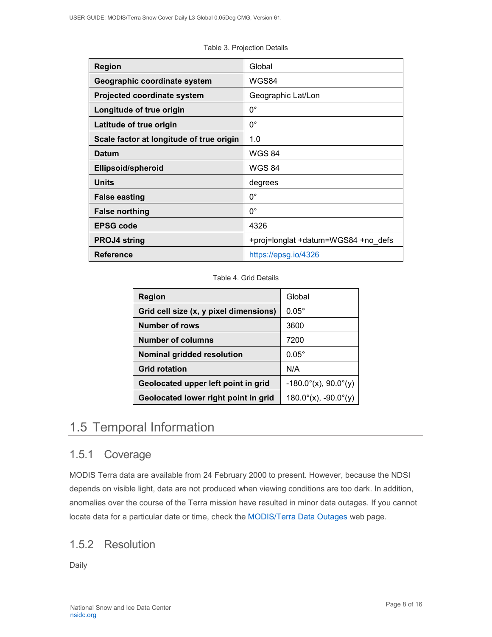| <b>Region</b>                            | Global                              |
|------------------------------------------|-------------------------------------|
| Geographic coordinate system             | WGS84                               |
| Projected coordinate system              | Geographic Lat/Lon                  |
| Longitude of true origin                 | $0^{\circ}$                         |
| Latitude of true origin                  | $0^{\circ}$                         |
| Scale factor at longitude of true origin | 1.0                                 |
| <b>Datum</b>                             | <b>WGS 84</b>                       |
| <b>Ellipsoid/spheroid</b>                | <b>WGS 84</b>                       |
| <b>Units</b>                             | degrees                             |
| <b>False easting</b>                     | $0^{\circ}$                         |
| <b>False northing</b>                    | $0^{\circ}$                         |
| <b>EPSG code</b>                         | 4326                                |
| <b>PROJ4 string</b>                      | +proj=longlat +datum=WGS84 +no defs |
| <b>Reference</b>                         | https://epsg.io/4326                |

Table 3. Projection Details

#### Table 4. Grid Details

| <b>Region</b>                          | Global                         |
|----------------------------------------|--------------------------------|
| Grid cell size (x, y pixel dimensions) | $0.05^\circ$                   |
| <b>Number of rows</b>                  | 3600                           |
| <b>Number of columns</b>               | 7200                           |
| <b>Nominal gridded resolution</b>      | $0.05^\circ$                   |
| <b>Grid rotation</b>                   | N/A                            |
| Geolocated upper left point in grid    | $-180.0^{\circ}(x)$ , 90.0°(y) |
| Geolocated lower right point in grid   | $180.0^{\circ}$ (x), -90.0°(y) |

## <span id="page-8-0"></span>1.5 Temporal Information

### <span id="page-8-1"></span>1.5.1 Coverage

MODIS Terra data are available from 24 February 2000 to present. However, because the NDSI depends on visible light, data are not produced when viewing conditions are too dark. In addition, anomalies over the course of the Terra mission have resulted in minor data outages. If you cannot locate data for a particular date or time, check th[e MODIS/Terra Data Outages](https://modaps.modaps.eosdis.nasa.gov/services/production/outages_terra.html) web page.

#### <span id="page-8-2"></span>1.5.2 Resolution

Daily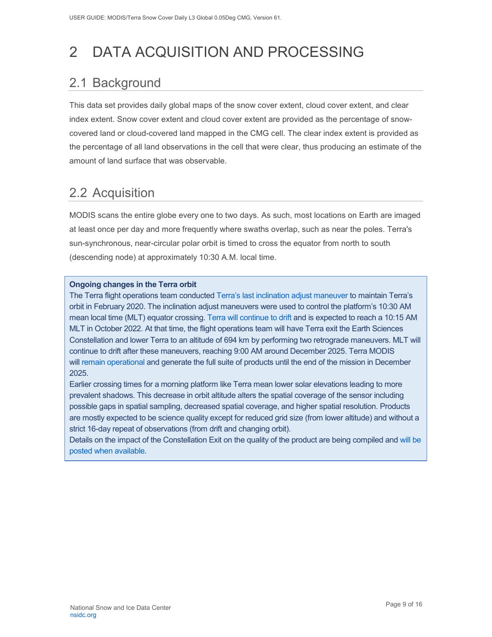# <span id="page-9-0"></span>2 DATA ACQUISITION AND PROCESSING

# <span id="page-9-1"></span>2.1 Background

This data set provides daily global maps of the snow cover extent, cloud cover extent, and clear index extent. Snow cover extent and cloud cover extent are provided as the percentage of snowcovered land or cloud-covered land mapped in the CMG cell. The clear index extent is provided as the percentage of all land observations in the cell that were clear, thus producing an estimate of the amount of land surface that was observable.

## <span id="page-9-2"></span>2.2 Acquisition

MODIS scans the entire globe every one to two days. As such, most locations on Earth are imaged at least once per day and more frequently where swaths overlap, such as near the poles. Terra's sun-synchronous, near-circular polar orbit is timed to cross the equator from north to south (descending node) at approximately 10:30 A.M. local time.

#### **Ongoing changes in the Terra orbit**

The Terra flight operations team conducted [Terra's last inclination adjust maneuver](https://terra.nasa.gov/about/terra-orbital-drift) to maintain Terra's orbit in February 2020. The inclination adjust maneuvers were used to control the platform's 10:30 AM mean local time (MLT) equator crossing. [Terra will continue to drift](https://modis.gsfc.nasa.gov/news/individual.php?news_id=100378) and is expected to reach a 10:15 AM MLT in October 2022. At that time, the flight operations team will have Terra exit the Earth Sciences Constellation and lower Terra to an altitude of 694 km by performing two retrograde maneuvers. MLT will continue to drift after these maneuvers, reaching 9:00 AM around December 2025. Terra MODIS will [remain operational](https://landweb.modaps.eosdis.nasa.gov/cgi-bin/QA_WWW/displayCase.cgi?esdt=MOD&caseNum=PM_MOD_21264&caseLocation=cases_data&type=C6&_ga=2.237971648.1728476934.1634939670-1813231108.1634939670) and generate the full suite of products until the end of the mission in December 2025.

Earlier crossing times for a morning platform like Terra mean lower solar elevations leading to more prevalent shadows. This decrease in orbit altitude alters the spatial coverage of the sensor including possible gaps in spatial sampling, decreased spatial coverage, and higher spatial resolution. Products are mostly expected to be science quality except for reduced grid size (from lower altitude) and without a strict 16-day repeat of observations (from drift and changing orbit).

Details on the impact of the Constellation Exit on the quality of the product are being compiled and [will be](https://landweb.modaps.eosdis.nasa.gov/cgi-bin/QS/new/index.cgi)  [posted when](https://landweb.modaps.eosdis.nasa.gov/cgi-bin/QS/new/index.cgi) available.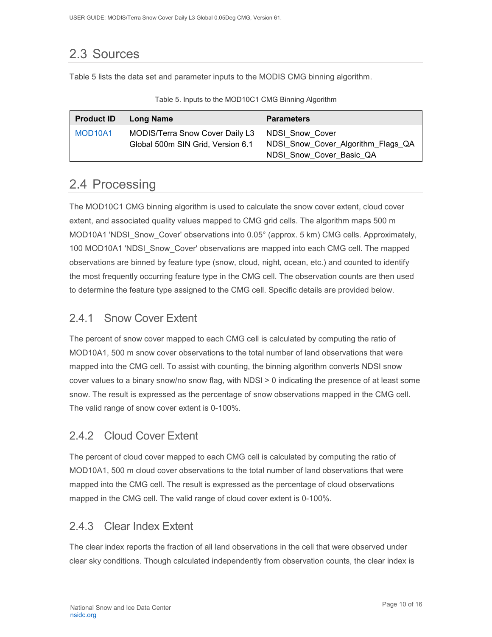# <span id="page-10-0"></span>2.3 Sources

Table 5 lists the data set and parameter inputs to the MODIS CMG binning algorithm.

| <b>Product ID</b>                | Long Name                                         | <b>Parameters</b>                                                                                  |
|----------------------------------|---------------------------------------------------|----------------------------------------------------------------------------------------------------|
| MOD <sub>10</sub> A <sub>1</sub> | MODIS/Terra Snow Cover Daily L3   NDSI_Snow_Cover | Global 500m SIN Grid, Version 6.1   NDSI_Snow_Cover_Algorithm_Flags_QA<br>NDSI Snow Cover Basic QA |

Table 5. Inputs to the MOD10C1 CMG Binning Algorithm

## <span id="page-10-1"></span>2.4 Processing

The MOD10C1 CMG binning algorithm is used to calculate the snow cover extent, cloud cover extent, and associated quality values mapped to CMG grid cells. The algorithm maps 500 m MOD10A1 'NDSI\_Snow\_Cover' observations into 0.05° (approx. 5 km) CMG cells. Approximately, 100 MOD10A1 'NDSI\_Snow\_Cover' observations are mapped into each CMG cell. The mapped observations are binned by feature type (snow, cloud, night, ocean, etc.) and counted to identify the most frequently occurring feature type in the CMG cell. The observation counts are then used to determine the feature type assigned to the CMG cell. Specific details are provided below.

### <span id="page-10-2"></span>2.4.1 Snow Cover Extent

The percent of snow cover mapped to each CMG cell is calculated by computing the ratio of MOD10A1, 500 m snow cover observations to the total number of land observations that were mapped into the CMG cell. To assist with counting, the binning algorithm converts NDSI snow cover values to a binary snow/no snow flag, with NDSI > 0 indicating the presence of at least some snow. The result is expressed as the percentage of snow observations mapped in the CMG cell. The valid range of snow cover extent is 0-100%.

### <span id="page-10-3"></span>2.4.2 Cloud Cover Extent

The percent of cloud cover mapped to each CMG cell is calculated by computing the ratio of MOD10A1, 500 m cloud cover observations to the total number of land observations that were mapped into the CMG cell. The result is expressed as the percentage of cloud observations mapped in the CMG cell. The valid range of cloud cover extent is 0-100%.

### <span id="page-10-4"></span>2.4.3 Clear Index Extent

The clear index reports the fraction of all land observations in the cell that were observed under clear sky conditions. Though calculated independently from observation counts, the clear index is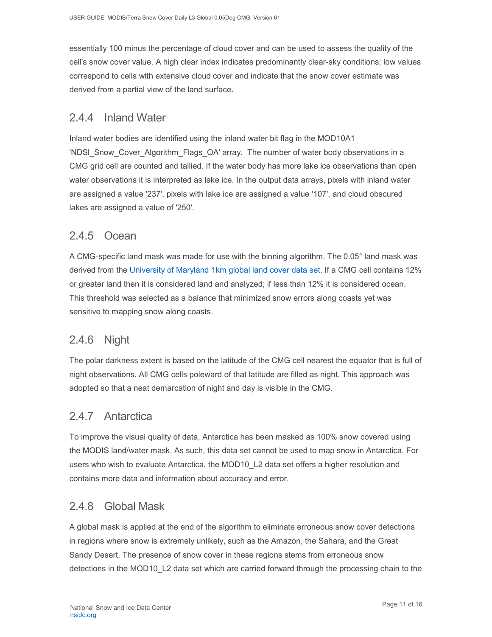essentially 100 minus the percentage of cloud cover and can be used to assess the quality of the cell's snow cover value. A high clear index indicates predominantly clear-sky conditions; low values correspond to cells with extensive cloud cover and indicate that the snow cover estimate was derived from a partial view of the land surface.

#### <span id="page-11-0"></span>2.4.4 Inland Water

Inland water bodies are identified using the inland water bit flag in the MOD10A1 'NDSI Snow Cover Algorithm Flags QA' array. The number of water body observations in a CMG grid cell are counted and tallied. If the water body has more lake ice observations than open water observations it is interpreted as lake ice. In the output data arrays, pixels with inland water are assigned a value '237', pixels with lake ice are assigned a value '107', and cloud obscured lakes are assigned a value of '250'.

#### <span id="page-11-1"></span>2.4.5 Ocean

A CMG-specific land mask was made for use with the binning algorithm. The 0.05° land mask was derived from the [University of Maryland 1km global land cover data set.](https://doi.org/10.3334/ORNLDAAC/969) If a CMG cell contains 12% or greater land then it is considered land and analyzed; if less than 12% it is considered ocean. This threshold was selected as a balance that minimized snow errors along coasts yet was sensitive to mapping snow along coasts.

#### <span id="page-11-2"></span>2.4.6 Night

The polar darkness extent is based on the latitude of the CMG cell nearest the equator that is full of night observations. All CMG cells poleward of that latitude are filled as night. This approach was adopted so that a neat demarcation of night and day is visible in the CMG.

#### <span id="page-11-3"></span>2.4.7 Antarctica

To improve the visual quality of data, Antarctica has been masked as 100% snow covered using the MODIS land/water mask. As such, this data set cannot be used to map snow in Antarctica. For users who wish to evaluate Antarctica, the MOD10\_L2 data set offers a higher resolution and contains more data and information about accuracy and error.

#### <span id="page-11-4"></span>2.4.8 Global Mask

A global mask is applied at the end of the algorithm to eliminate erroneous snow cover detections in regions where snow is extremely unlikely, such as the Amazon, the Sahara, and the Great Sandy Desert. The presence of snow cover in these regions stems from erroneous snow detections in the MOD10\_L2 data set which are carried forward through the processing chain to the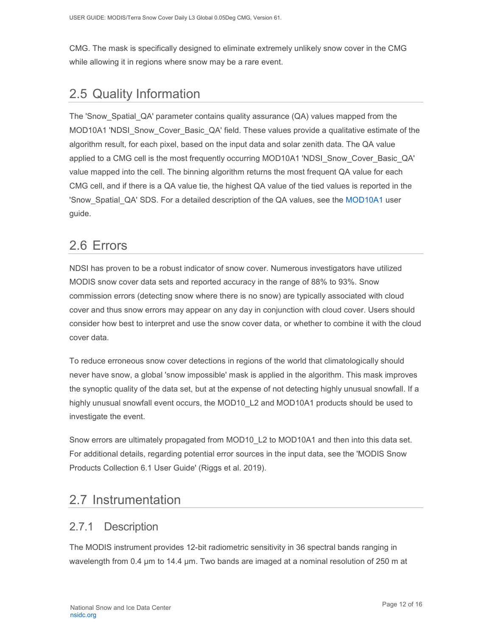CMG. The mask is specifically designed to eliminate extremely unlikely snow cover in the CMG while allowing it in regions where snow may be a rare event.

## <span id="page-12-0"></span>2.5 Quality Information

The 'Snow\_Spatial\_QA' parameter contains quality assurance (QA) values mapped from the MOD10A1 'NDSI Snow Cover Basic QA' field. These values provide a qualitative estimate of the algorithm result, for each pixel, based on the input data and solar zenith data. The QA value applied to a CMG cell is the most frequently occurring MOD10A1 'NDSI\_Snow\_Cover\_Basic\_QA' value mapped into the cell. The binning algorithm returns the most frequent QA value for each CMG cell, and if there is a QA value tie, the highest QA value of the tied values is reported in the 'Snow\_Spatial\_QA' SDS. For a detailed description of the QA values, see the [MOD10A1](https://nsidc.org/data/MOD10A1) user guide.

### <span id="page-12-1"></span>2.6 Errors

NDSI has proven to be a robust indicator of snow cover. Numerous investigators have utilized MODIS snow cover data sets and reported accuracy in the range of 88% to 93%. Snow commission errors (detecting snow where there is no snow) are typically associated with cloud cover and thus snow errors may appear on any day in conjunction with cloud cover. Users should consider how best to interpret and use the snow cover data, or whether to combine it with the cloud cover data.

To reduce erroneous snow cover detections in regions of the world that climatologically should never have snow, a global 'snow impossible' mask is applied in the algorithm. This mask improves the synoptic quality of the data set, but at the expense of not detecting highly unusual snowfall. If a highly unusual snowfall event occurs, the MOD10\_L2 and MOD10A1 products should be used to investigate the event.

Snow errors are ultimately propagated from MOD10 L2 to MOD10A1 and then into this data set. For additional details, regarding potential error sources in the input data, see the 'MODIS Snow Products Collection 6.1 User Guide' (Riggs et al. 2019).

## <span id="page-12-2"></span>2.7 Instrumentation

### <span id="page-12-3"></span>2.7.1 Description

The MODIS instrument provides 12-bit radiometric sensitivity in 36 spectral bands ranging in wavelength from 0.4 µm to 14.4 µm. Two bands are imaged at a nominal resolution of 250 m at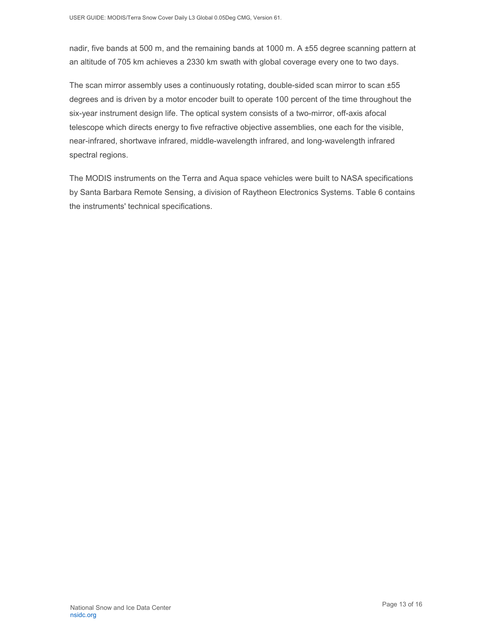nadir, five bands at 500 m, and the remaining bands at 1000 m. A ±55 degree scanning pattern at an altitude of 705 km achieves a 2330 km swath with global coverage every one to two days.

The scan mirror assembly uses a continuously rotating, double-sided scan mirror to scan ±55 degrees and is driven by a motor encoder built to operate 100 percent of the time throughout the six-year instrument design life. The optical system consists of a two-mirror, off-axis afocal telescope which directs energy to five refractive objective assemblies, one each for the visible, near-infrared, shortwave infrared, middle-wavelength infrared, and long-wavelength infrared spectral regions.

The MODIS instruments on the Terra and Aqua space vehicles were built to NASA specifications by Santa Barbara Remote Sensing, a division of Raytheon Electronics Systems. Table 6 contains the instruments' technical specifications.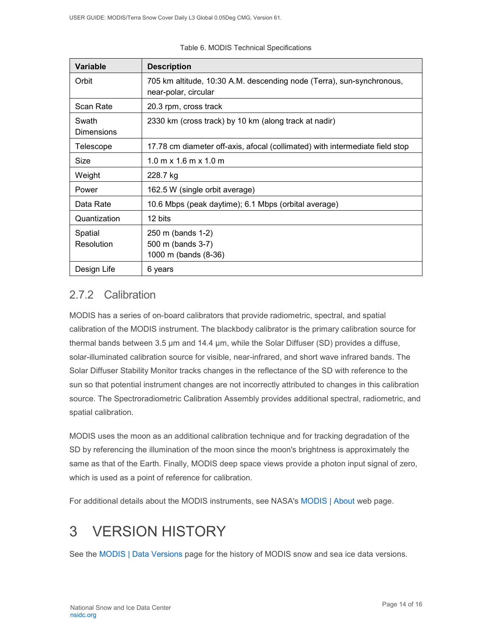| <b>Variable</b>            | <b>Description</b>                                                                            |
|----------------------------|-----------------------------------------------------------------------------------------------|
| Orbit                      | 705 km altitude, 10:30 A.M. descending node (Terra), sun-synchronous,<br>near-polar, circular |
| Scan Rate                  | 20.3 rpm, cross track                                                                         |
| Swath<br><b>Dimensions</b> | 2330 km (cross track) by 10 km (along track at nadir)                                         |
| Telescope                  | 17.78 cm diameter off-axis, afocal (collimated) with intermediate field stop                  |
| Size                       | $1.0 \text{ m} \times 1.6 \text{ m} \times 1.0 \text{ m}$                                     |
| Weight                     | 228.7 kg                                                                                      |
| Power                      | 162.5 W (single orbit average)                                                                |
| Data Rate                  | 10.6 Mbps (peak daytime); 6.1 Mbps (orbital average)                                          |
| Quantization               | 12 bits                                                                                       |
| Spatial<br>Resolution      | 250 m (bands 1-2)<br>500 m (bands 3-7)<br>1000 m (bands (8-36)                                |
| Design Life                | 6 years                                                                                       |

#### Table 6. MODIS Technical Specifications

#### <span id="page-14-0"></span>2.7.2 Calibration

MODIS has a series of on-board calibrators that provide radiometric, spectral, and spatial calibration of the MODIS instrument. The blackbody calibrator is the primary calibration source for thermal bands between 3.5 µm and 14.4 µm, while the Solar Diffuser (SD) provides a diffuse, solar-illuminated calibration source for visible, near-infrared, and short wave infrared bands. The Solar Diffuser Stability Monitor tracks changes in the reflectance of the SD with reference to the sun so that potential instrument changes are not incorrectly attributed to changes in this calibration source. The Spectroradiometric Calibration Assembly provides additional spectral, radiometric, and spatial calibration.

MODIS uses the moon as an additional calibration technique and for tracking degradation of the SD by referencing the illumination of the moon since the moon's brightness is approximately the same as that of the Earth. Finally, MODIS deep space views provide a photon input signal of zero, which is used as a point of reference for calibration.

For additional details about the MODIS instruments, see NASA's [MODIS | About](http://modis.gsfc.nasa.gov/about/) web page.

# <span id="page-14-1"></span>3 VERSION HISTORY

See the [MODIS | Data Versions](https://nsidc.org/data/modis/data_versions.html) page for the history of MODIS snow and sea ice data versions.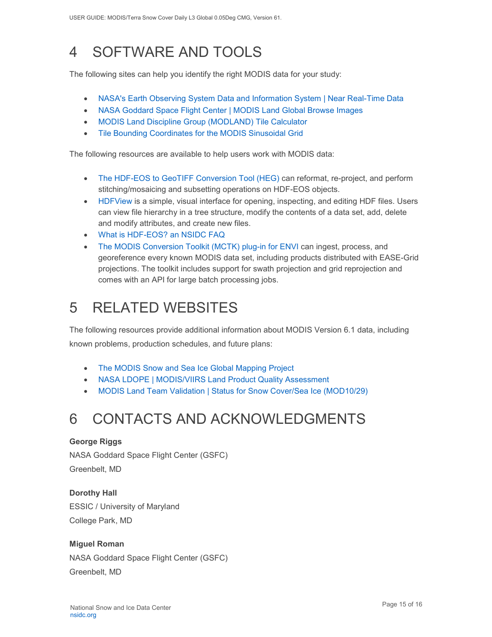# <span id="page-15-0"></span>4 SOFTWARE AND TOOLS

The following sites can help you identify the right MODIS data for your study:

- [NASA's Earth Observing System Data and Information System | Near Real-Time Data](http://earthdata.nasa.gov/data/near-real-time-data/rapid-response)
- [NASA Goddard Space Flight Center | MODIS Land Global Browse Images](https://landweb.modaps.eosdis.nasa.gov/cgi-bin/browse/browseMODIS.cgi)
- [MODIS Land Discipline Group \(MODLAND\) Tile Calculator](http://landweb.nascom.nasa.gov/cgi-bin/developer/tilemap.cgi)
- [Tile Bounding Coordinates for the MODIS Sinusoidal Grid](http://modis-land.gsfc.nasa.gov/pdf/sn_bound_10deg.txt)

The following resources are available to help users work with MODIS data:

- [The HDF-EOS to GeoTIFF Conversion Tool \(HEG\)](https://wiki.earthdata.nasa.gov/display/DAS/HEG%3A++HDF-EOS+to+GeoTIFF+Conversion+Tool) can reformat, re-project, and perform stitching/mosaicing and subsetting operations on HDF-EOS objects.
- [HDFView](https://www.hdfgroup.org/downloads/hdfview/) is a simple, visual interface for opening, inspecting, and editing HDF files. Users can view file hierarchy in a tree structure, modify the contents of a data set, add, delete and modify attributes, and create new files.
- [What is HDF-EOS? an NSIDC FAQ](https://nsidc.org/support/faq/what-hdf-eos)
- [The MODIS Conversion Toolkit \(MCTK\) plug-in for ENVI](https://github.com/dawhite/MCTK) can ingest, process, and georeference every known MODIS data set, including products distributed with EASE-Grid projections. The toolkit includes support for swath projection and grid reprojection and comes with an API for large batch processing jobs.

# <span id="page-15-1"></span>5 RELATED WEBSITES

The following resources provide additional information about MODIS Version 6.1 data, including known problems, production schedules, and future plans:

- [The MODIS Snow and Sea Ice Global Mapping Project](http://modis-snow-ice.gsfc.nasa.gov/)
- [NASA LDOPE | MODIS/VIIRS Land Product Quality Assessment](https://landweb.modaps.eosdis.nasa.gov/cgi-bin/QS/new/index.cgi)
- [MODIS Land Team Validation | Status for Snow Cover/Sea Ice \(MOD10/29\)](https://modis-land.gsfc.nasa.gov/ValStatus.php?ProductID=MOD10/29)

# <span id="page-15-2"></span>6 CONTACTS AND ACKNOWLEDGMENTS

#### **George Riggs**

NASA Goddard Space Flight Center (GSFC) Greenbelt, MD

**Dorothy Hall**  ESSIC / University of Maryland College Park, MD

#### **Miguel Roman**

NASA Goddard Space Flight Center (GSFC) Greenbelt, MD